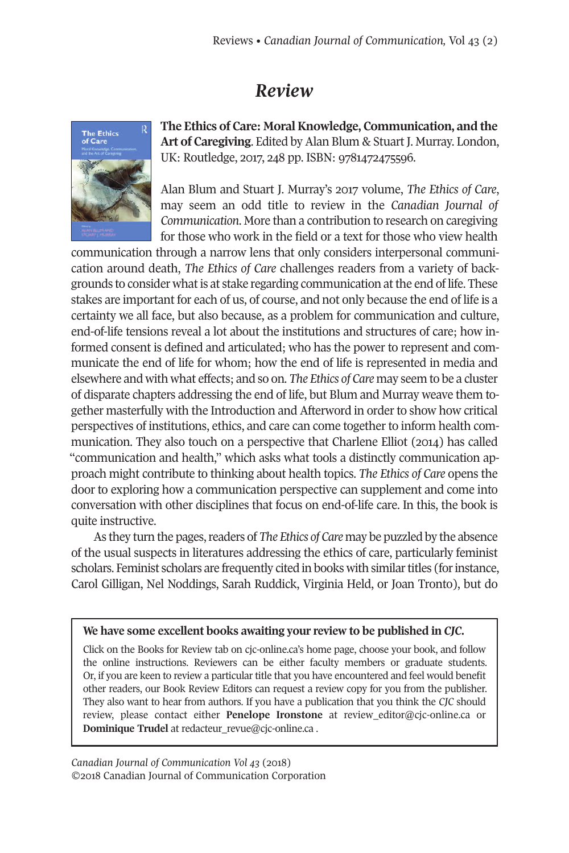## *Review*



**The Ethics of Care: MoralKnowledge, Communication, and the Art of Caregiving**. Edited by Alan Blum & Stuart J. Murray. London, UK: Routledge, 2017, 248 pp. ISBN: 9781472475596.

Alan Blum and Stuart J. Murray's 2017 volume, *The Ethics of Care*, may seem an odd title to review in the *Canadian Journal of Communication*. More than a contribution to research on caregiving for those who work in the field or a text for those who view health

communication through a narrow lens that only considers interpersonal communication around death, *The Ethics of Care* challenges readers from a variety of backgrounds to consider what is at stake regarding communication at the end of life. These stakes are important for each of us, of course, and not only because the end of life is a certainty we all face, but also because, as a problem for communication and culture, end-of-life tensions reveal a lot about the institutions and structures of care; how informed consent is defined and articulated; who has the power to represent and communicate the end of life for whom; how the end of life is represented in media and elsewhere and with what effects; and so on. *The Ethics of Care* may seem to be a cluster of disparate chapters addressing the end of life, but Blum and Murray weave them together masterfully with the Introduction and Afterword in order to show how critical perspectives of institutions, ethics, and care can come together to inform health communication. They also touch on a perspective that Charlene Elliot (2014) has called "communication and health," which asks what tools a distinctly communication approach might contribute to thinking about health topics. *The Ethics of Care* opens the door to exploring how a communication perspective can supplement and come into conversation with other disciplines that focus on end-of-life care. In this, the book is quite instructive.

As they turn the pages, readers of *The Ethics of Care* may be puzzled by the absence of the usual suspects in literatures addressing the ethics of care, particularly feminist scholars. Feminist scholars are frequently cited in books with similar titles (for instance, Carol Gilligan, Nel Noddings, Sarah Ruddick, Virginia Held, or Joan Tronto), but do

## **We have some excellent books awaiting your review to be published in** *CJC.*

Click on the Books for Review tab on cjc-online.ca's home page, choose your book, and follow the online instructions. Reviewers can be either faculty members or graduate students. Or, if you are keen to review a particular title that you have encountered and feel would benefit other readers, our Book Review Editors can request a review copy for you from the publisher. They also want to hear from authors. If you have a publication that you think the *CJC* should review, please contact either **Penelope Ironstone** at [review\\_editor@cjc-online.ca](mailto:review_editor@cjc-online.ca) or **Dominique Trudel** at [redacteur\\_revue@cjc-online.ca](mailto:redacteur_revue@cjc-online.ca) .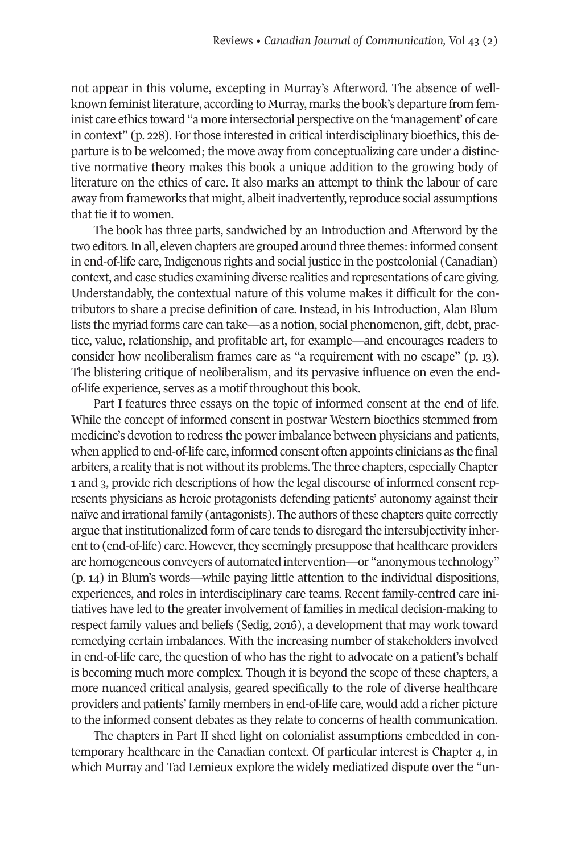not appear in this volume, excepting in Murray's Afterword. The absence of wellknown feministliterature, according to Murray, marks the book's departure from feminist care ethics toward "a more intersectorial perspective on the 'management' of care in context" (p. 228). For those interested in critical interdisciplinary bioethics, this departure is to be welcomed; the move away from conceptualizing care under a distinctive normative theory makes this book a unique addition to the growing body of literature on the ethics of care. It also marks an attempt to think the labour of care away from frameworks that might, albeit inadvertently, reproduce social assumptions that tie it to women.

The book has three parts, sandwiched by an Introduction and Afterword by the two editors. In all, eleven chapters are grouped around three themes: informed consent in end-of-life care, Indigenous rights and social justice in the postcolonial (Canadian) context, and case studies examining diverse realities and representations of care giving. Understandably, the contextual nature of this volume makes it difficult for the contributors to share a precise definition of care. Instead, in his Introduction, Alan Blum lists the myriad forms care can take—as a notion, social phenomenon, gift, debt, practice, value, relationship, and profitable art, for example—and encourages readers to consider how neoliberalism frames care as "a requirement with no escape" (p. 13). The blistering critique of neoliberalism, and its pervasive influence on even the endof-life experience, serves as a motif throughout this book.

Part I features three essays on the topic of informed consent at the end of life. While the concept of informed consent in postwar Western bioethics stemmed from medicine's devotion to redress the powerimbalance between physicians and patients, when applied to end-of-life care, informed consent often appoints clinicians as the final arbiters, a reality that is not without its problems. The three chapters, especially Chapter 1 and 3, provide rich descriptions of how the legal discourse of informed consent represents physicians as heroic protagonists defending patients' autonomy against their naïve and irrational family (antagonists). The authors of these chapters quite correctly argue that institutionalized form of care tends to disregard the intersubjectivity inherent to (end-of-life) care. However, they seemingly presuppose that healthcare providers are homogeneous conveyers of automated intervention—or "anonymous technology" (p. 14) in Blum's words—while paying little attention to the individual dispositions, experiences, and roles in interdisciplinary care teams. Recent family-centred care initiatives have led to the greater involvement of families in medical decision-making to respect family values and beliefs (Sedig, 2016), a development that may work toward remedying certain imbalances. With the increasing number of stakeholders involved in end-of-life care, the question of who has the right to advocate on a patient's behalf is becoming much more complex. Though it is beyond the scope of these chapters, a more nuanced critical analysis, geared specifically to the role of diverse healthcare providers and patients' family members in end-of-life care, would add a richer picture to the informed consent debates as they relate to concerns of health communication.

The chapters in Part II shed light on colonialist assumptions embedded in contemporary healthcare in the Canadian context. Of particular interest is Chapter 4, in which Murray and Tad Lemieux explore the widely mediatized dispute over the "un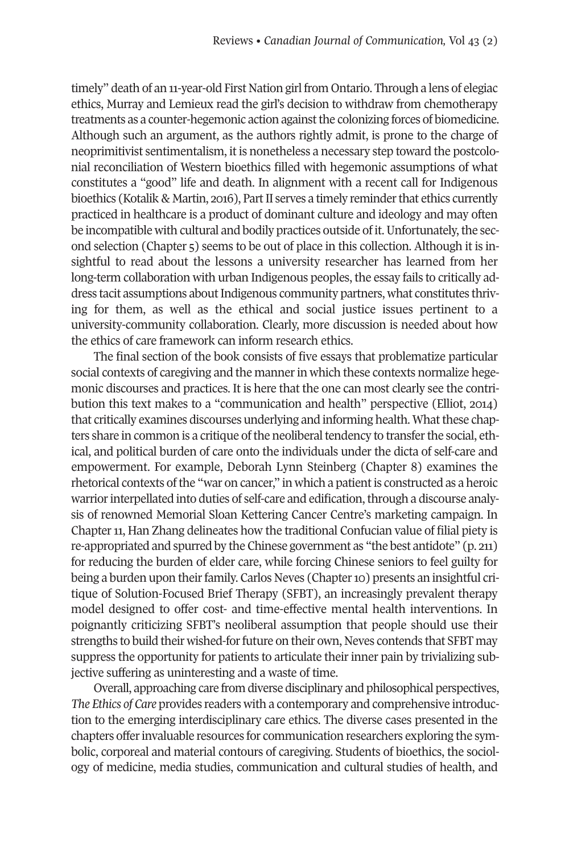timely" death of an 11-year-old First Nation girl from Ontario. Through a lens of elegiac ethics, Murray and Lemieux read the girl's decision to withdraw from chemotherapy treatments as a counter-hegemonic action against the colonizing forces of biomedicine. Although such an argument, as the authors rightly admit, is prone to the charge of neoprimitivist sentimentalism, it is nonetheless a necessary step toward the postcolonial reconciliation of Western bioethics filled with hegemonic assumptions of what constitutes a "good" life and death. In alignment with a recent call for Indigenous bioethics (Kotalik & Martin, 2016), Part II serves a timely reminder that ethics currently practiced in healthcare is a product of dominant culture and ideology and may often be incompatible with cultural and bodily practices outside of it. Unfortunately, the second selection (Chapter 5) seems to be out of place in this collection. Although it is insightful to read about the lessons a university researcher has learned from her long-term collaboration with urban Indigenous peoples, the essay fails to critically address tacit assumptions about Indigenous community partners, what constitutes thriving for them, as well as the ethical and social justice issues pertinent to a university-community collaboration. Clearly, more discussion is needed about how the ethics of care framework can inform research ethics.

The final section of the book consists of five essays that problematize particular social contexts of caregiving and the mannerin which these contexts normalize hegemonic discourses and practices. It is here that the one can most clearly see the contribution this text makes to a "communication and health" perspective (Elliot, 2014) that critically examines discourses underlying and informing health. What these chapters share in common is a critique of the neoliberal tendency to transfer the social, ethical, and political burden of care onto the individuals under the dicta of self-care and empowerment. For example, Deborah Lynn Steinberg (Chapter 8) examines the rhetorical contexts of the "war on cancer," in which a patient is constructed as a heroic warrior interpellated into duties of self-care and edification, through a discourse analysis of renowned Memorial Sloan Kettering Cancer Centre's marketing campaign. In Chapter 11, Han Zhang delineates how the traditional Confucian value of filial piety is re-appropriated and spurred by the Chinese government as "the best antidote" (p. 211) for reducing the burden of elder care, while forcing Chinese seniors to feel guilty for being a burden upon their family. Carlos Neves (Chapter 10) presents an insightful critique of Solution-Focused Brief Therapy (SFBT), an increasingly prevalent therapy model designed to offer cost- and time-effective mental health interventions. In poignantly criticizing SFBT's neoliberal assumption that people should use their strengths to build their wished-for future on their own, Neves contends that SFBT may suppress the opportunity for patients to articulate their inner pain by trivializing subjective suffering as uninteresting and a waste of time.

Overall, approaching care from diverse disciplinary and philosophical perspectives, *The Ethics of Care* provides readers with a contemporary and comprehensive introduction to the emerging interdisciplinary care ethics. The diverse cases presented in the chapters offerinvaluable resources for communication researchers exploring the symbolic, corporeal and material contours of caregiving. Students of bioethics, the sociology of medicine, media studies, communication and cultural studies of health, and